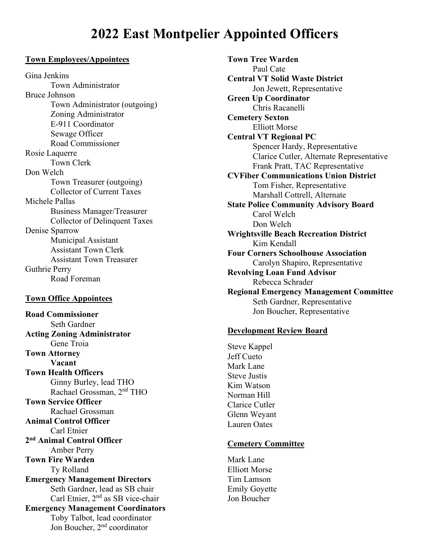# **2022 East Montpelier Appointed Officers**

#### **Town Employees/Appointees**

Gina Jenkins Town Administrator Bruce Johnson Town Administrator (outgoing) Zoning Administrator E-911 Coordinator Sewage Officer Road Commissioner Rosie Laquerre Town Clerk Don Welch Town Treasurer (outgoing) Collector of Current Taxes Michele Pallas Business Manager/Treasurer Collector of Delinquent Taxes Denise Sparrow Municipal Assistant Assistant Town Clerk Assistant Town Treasurer Guthrie Perry Road Foreman

#### **Town Office Appointees**

**Road Commissioner** Seth Gardner **Acting Zoning Administrator** Gene Troia **Town Attorney Vacant Town Health Officers** Ginny Burley, lead THO Rachael Grossman, 2nd THO **Town Service Officer** Rachael Grossman **Animal Control Officer** Carl Etnier **2nd Animal Control Officer** Amber Perry **Town Fire Warden** Ty Rolland **Emergency Management Directors** Seth Gardner, lead as SB chair Carl Etnier, 2nd as SB vice-chair **Emergency Management Coordinators** Toby Talbot, lead coordinator Jon Boucher, 2<sup>nd</sup> coordinator

**Town Tree Warden** Paul Cate **Central VT Solid Waste District** Jon Jewett, Representative **Green Up Coordinator** Chris Racanelli **Cemetery Sexton** Elliott Morse **Central VT Regional PC** Spencer Hardy, Representative Clarice Cutler, Alternate Representative Frank Pratt, TAC Representative **CVFiber Communications Union District** Tom Fisher, Representative Marshall Cottrell, Alternate **State Police Community Advisory Board** Carol Welch Don Welch **Wrightsville Beach Recreation District** Kim Kendall **Four Corners Schoolhouse Association** Carolyn Shapiro, Representative **Revolving Loan Fund Advisor** Rebecca Schrader **Regional Emergency Management Committee** Seth Gardner, Representative Jon Boucher, Representative

#### **Development Review Board**

Steve Kappel Jeff Cueto Mark Lane Steve Justis Kim Watson Norman Hill Clarice Cutler Glenn Weyant Lauren Oates

#### **Cemetery Committee**

Mark Lane Elliott Morse Tim Lamson Emily Goyette Jon Boucher